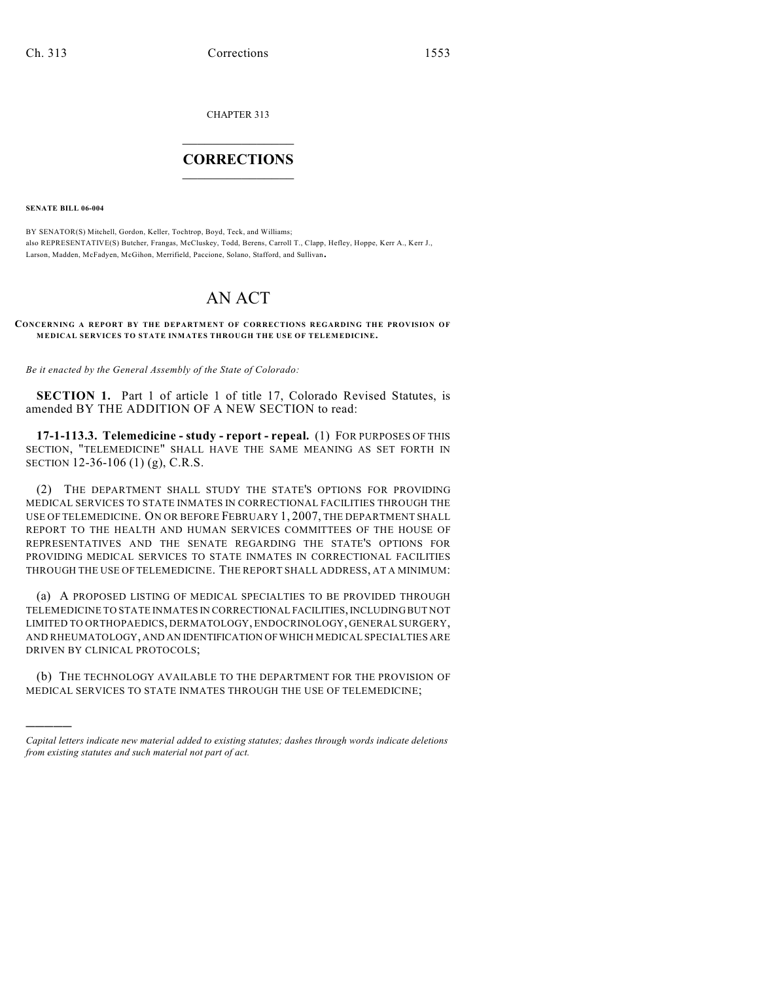CHAPTER 313

## $\mathcal{L}_\text{max}$  . The set of the set of the set of the set of the set of the set of the set of the set of the set of the set of the set of the set of the set of the set of the set of the set of the set of the set of the set **CORRECTIONS**  $\frac{1}{2}$  ,  $\frac{1}{2}$  ,  $\frac{1}{2}$  ,  $\frac{1}{2}$  ,  $\frac{1}{2}$  ,  $\frac{1}{2}$

**SENATE BILL 06-004**

)))))

BY SENATOR(S) Mitchell, Gordon, Keller, Tochtrop, Boyd, Teck, and Williams; also REPRESENTATIVE(S) Butcher, Frangas, McCluskey, Todd, Berens, Carroll T., Clapp, Hefley, Hoppe, Kerr A., Kerr J., Larson, Madden, McFadyen, McGihon, Merrifield, Paccione, Solano, Stafford, and Sullivan.

## AN ACT

**CONCERNING A REPORT BY THE DEPARTMENT OF CORRECTIONS REGARDING THE PROVISION OF MEDICAL SERVICES TO STATE INMATES THROUGH THE USE OF TELEMEDICINE.**

*Be it enacted by the General Assembly of the State of Colorado:*

**SECTION 1.** Part 1 of article 1 of title 17, Colorado Revised Statutes, is amended BY THE ADDITION OF A NEW SECTION to read:

**17-1-113.3. Telemedicine - study - report - repeal.** (1) FOR PURPOSES OF THIS SECTION, "TELEMEDICINE" SHALL HAVE THE SAME MEANING AS SET FORTH IN SECTION 12-36-106 (1) (g), C.R.S.

(2) THE DEPARTMENT SHALL STUDY THE STATE'S OPTIONS FOR PROVIDING MEDICAL SERVICES TO STATE INMATES IN CORRECTIONAL FACILITIES THROUGH THE USE OF TELEMEDICINE. ON OR BEFORE FEBRUARY 1, 2007, THE DEPARTMENT SHALL REPORT TO THE HEALTH AND HUMAN SERVICES COMMITTEES OF THE HOUSE OF REPRESENTATIVES AND THE SENATE REGARDING THE STATE'S OPTIONS FOR PROVIDING MEDICAL SERVICES TO STATE INMATES IN CORRECTIONAL FACILITIES THROUGH THE USE OF TELEMEDICINE. THE REPORT SHALL ADDRESS, AT A MINIMUM:

(a) A PROPOSED LISTING OF MEDICAL SPECIALTIES TO BE PROVIDED THROUGH TELEMEDICINE TO STATE INMATES IN CORRECTIONAL FACILITIES, INCLUDING BUT NOT LIMITED TO ORTHOPAEDICS, DERMATOLOGY, ENDOCRINOLOGY, GENERAL SURGERY, AND RHEUMATOLOGY, AND AN IDENTIFICATION OF WHICH MEDICAL SPECIALTIES ARE DRIVEN BY CLINICAL PROTOCOLS;

(b) THE TECHNOLOGY AVAILABLE TO THE DEPARTMENT FOR THE PROVISION OF MEDICAL SERVICES TO STATE INMATES THROUGH THE USE OF TELEMEDICINE;

*Capital letters indicate new material added to existing statutes; dashes through words indicate deletions from existing statutes and such material not part of act.*